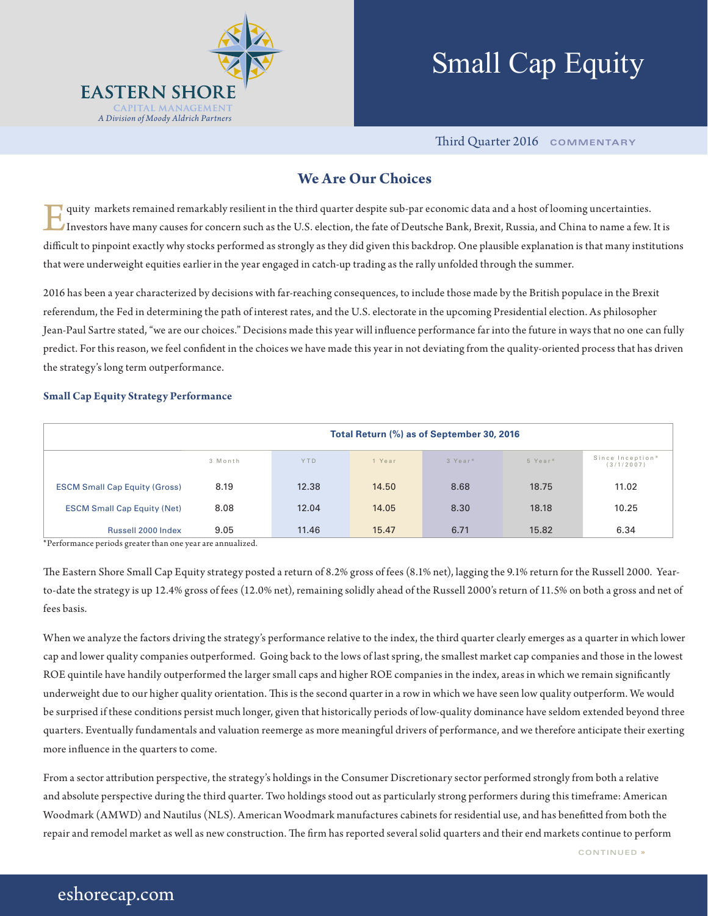

# Small Cap Equity

Third Quarter 2016 **COMMENTARY**

### **We Are Our Choices**

quity markets remained remarkably resilient in the third quarter despite sub-par economic data and a host of looming uncertainties. Investors have many causes for concern such as the U.S. election, the fate of Deutsche Bank, Brexit, Russia, and China to name a few. It is difficult to pinpoint exactly why stocks performed as strongly as they did given this backdrop. One plausible explanation is that many institutions that were underweight equities earlier in the year engaged in catch-up trading as the rally unfolded through the summer.

2016 has been a year characterized by decisions with far-reaching consequences, to include those made by the British populace in the Brexit referendum, the Fed in determining the path of interest rates, and the U.S. electorate in the upcoming Presidential election. As philosopher Jean-Paul Sartre stated, "we are our choices." Decisions made this year will influence performance far into the future in ways that no one can fully predict. For this reason, we feel confident in the choices we have made this year in not deviating from the quality-oriented process that has driven the strategy's long term outperformance.

#### **Small Cap Equity Strategy Performance**

|                                      | Total Return (%) as of September 30, 2016 |       |        |                     |         |                                |  |  |  |
|--------------------------------------|-------------------------------------------|-------|--------|---------------------|---------|--------------------------------|--|--|--|
|                                      | 3 Month                                   | YTD   | 1 Year | 3 Year <sup>*</sup> | 5 Year* | Since Inception*<br>(3/1/2007) |  |  |  |
| <b>ESCM Small Cap Equity (Gross)</b> | 8.19                                      | 12.38 | 14.50  | 8.68                | 18.75   | 11.02                          |  |  |  |
| <b>ESCM Small Cap Equity (Net)</b>   | 8.08                                      | 12.04 | 14.05  | 8.30                | 18.18   | 10.25                          |  |  |  |
| Russell 2000 Index                   | 9.05                                      | 11.46 | 15.47  | 6.71                | 15.82   | 6.34                           |  |  |  |

\*Performance periods greater than one year are annualized.

The Eastern Shore Small Cap Equity strategy posted a return of 8.2% gross of fees (8.1% net), lagging the 9.1% return for the Russell 2000. Yearto-date the strategy is up 12.4% gross of fees (12.0% net), remaining solidly ahead of the Russell 2000's return of 11.5% on both a gross and net of fees basis.

When we analyze the factors driving the strategy's performance relative to the index, the third quarter clearly emerges as a quarter in which lower cap and lower quality companies outperformed. Going back to the lows of last spring, the smallest market cap companies and those in the lowest ROE quintile have handily outperformed the larger small caps and higher ROE companies in the index, areas in which we remain significantly underweight due to our higher quality orientation. This is the second quarter in a row in which we have seen low quality outperform. We would be surprised if these conditions persist much longer, given that historically periods of low-quality dominance have seldom extended beyond three quarters. Eventually fundamentals and valuation reemerge as more meaningful drivers of performance, and we therefore anticipate their exerting more influence in the quarters to come.

From a sector attribution perspective, the strategy's holdings in the Consumer Discretionary sector performed strongly from both a relative and absolute perspective during the third quarter. Two holdings stood out as particularly strong performers during this timeframe: American Woodmark (AMWD) and Nautilus (NLS). American Woodmark manufactures cabinets for residential use, and has benefitted from both the repair and remodel market as well as new construction. The firm has reported several solid quarters and their end markets continue to perform

## eshorecap.com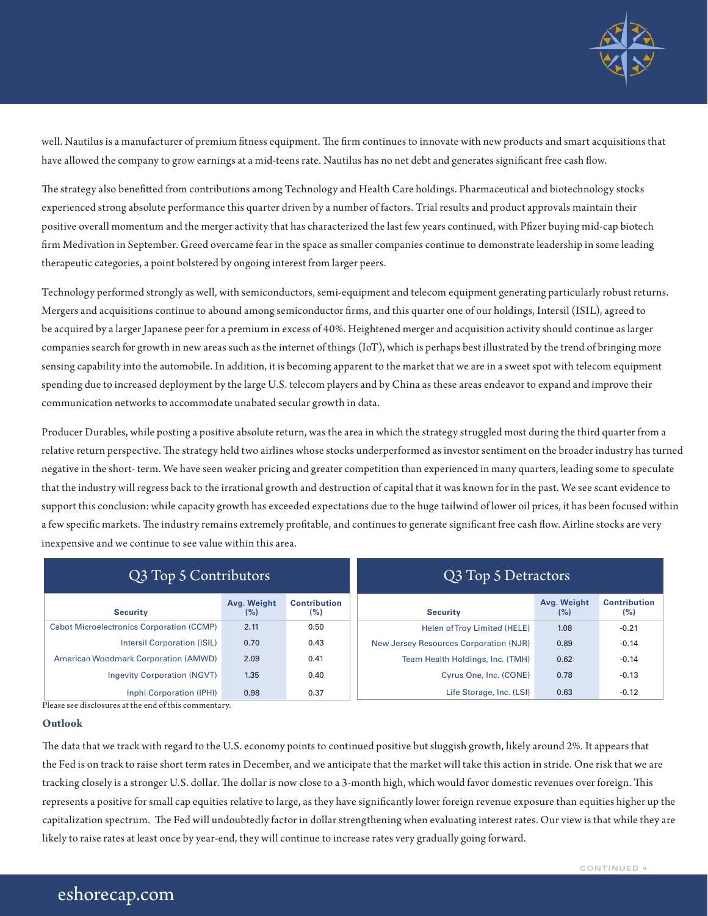

well. Nautilus is a manufacturer of premium fitness equipment. The firm continues to innovate with new products and smart acquisitions that have allowed the company to grow earnings at a mid-teens rate. Nautilus has no net debt and generates significant free cash flow.

The strategy also benefitted from contributions among Technology and Health Care holdings. Pharmaceutical and biotechnology stocks experienced strong absolute performance this quarter driven by a number of factors. Trial results and product approvals maintain their positive overall momentum and the merger activity that has characterized the last few years continued, with Pfizer buying mid-cap biotech firm Medivation in September. Greed overcame fear in the space as smaller companies continue to demonstrate leadership in some leading therapeutic categories, a point bolstered by ongoing interest from larger peers.

Technology performed strongly as well, with semiconductors, semi-equipment and telecom equipment generating particularly robust returns. Mergers and acquisitions continue to abound among semiconductor firms, and this quarter one of our holdings, Intersil (ISIL), agreed to be acquired by a larger Japanese peer for a premium in excess of 40%. Heightened merger and acquisition activity should continue as larger companies search for growth in new areas such as the internet of things (IoT), which is perhaps best illustrated by the trend of bringing more sensing capability into the automobile. In addition, it is becoming apparent to the market that we are in a sweet spot with telecom equipment spending due to increased deployment by the large U.S. telecom players and by China as these areas endeavor to expand and improve their communication networks to accommodate unabated secular growth in data.

Producer Durables, while posting a positive absolute return, was the area in which the strategy struggled most during the third quarter from a relative return perspective. The strategy held two airlines whose stocks underperformed as investor sentiment on the broader industry has turned negative in the short- term. We have seen weaker pricing and greater competition than experienced in many quarters, leading some to speculate that the industry will regress back to the irrational growth and destruction of capital that it was known for in the past. We see scant evidence to support this conclusion: while capacity growth has exceeded expectations due to the huge tailwind of lower oil prices, it has been focused within a few specific markets. The industry remains extremely profitable, and continues to generate significant free cash flow. Airline stocks are very inexpensive and we continue to see value within this area.

| Q3 Top 5 Contributors                            |                    |                            | Q3 Top 5 Detractors                    |                    |                            |  |
|--------------------------------------------------|--------------------|----------------------------|----------------------------------------|--------------------|----------------------------|--|
| <b>Security</b>                                  | Avg. Weight<br>(%) | <b>Contribution</b><br>(%) | <b>Security</b>                        | Avg. Weight<br>(%) | <b>Contribution</b><br>(%) |  |
| <b>Cabot Microelectronics Corporation (CCMP)</b> | 2.11               | 0.50                       | Helen of Trov Limited (HELE)           | 1.08               | $-0.21$                    |  |
| <b>Intersil Corporation (ISIL)</b>               | 0.70               | 0.43                       | New Jersey Resources Corporation (NJR) | 0.89               | $-0.14$                    |  |
| <b>American Woodmark Corporation (AMWD)</b>      | 2.09               | 0.41                       | Team Health Holdings, Inc. (TMH)       | 0.62               | $-0.14$                    |  |
| <b>Ingevity Corporation (NGVT)</b>               | 1.35               | 0.40                       | Cyrus One, Inc. (CONE)                 | 0.78               | $-0.13$                    |  |
| Inphi Corporation (IPHI)                         | 0.98               | 0.37                       | Life Storage, Inc. (LSI)               | 0.63               | $-0.12$                    |  |

Please see disclosures at the end of this commentary.

#### **Outlook**

The data that we track with regard to the U.S. economy points to continued positive but sluggish growth, likely around 2%. It appears that the Fed is on track to raise short term rates in December, and we anticipate that the market will take this action in stride. One risk that we are tracking closely is a stronger U.S. dollar. The dollar is now close to a 3-month high, which would favor domestic revenues over foreign. This represents a positive for small cap equities relative to large, as they have significantly lower foreign revenue exposure than equities higher up the capitalization spectrum. The Fed will undoubtedly factor in dollar strengthening when evaluating interest rates. Our view is that while they are likely to raise rates at least once by year-end, they will continue to increase rates very gradually going forward.

## eshorecap.com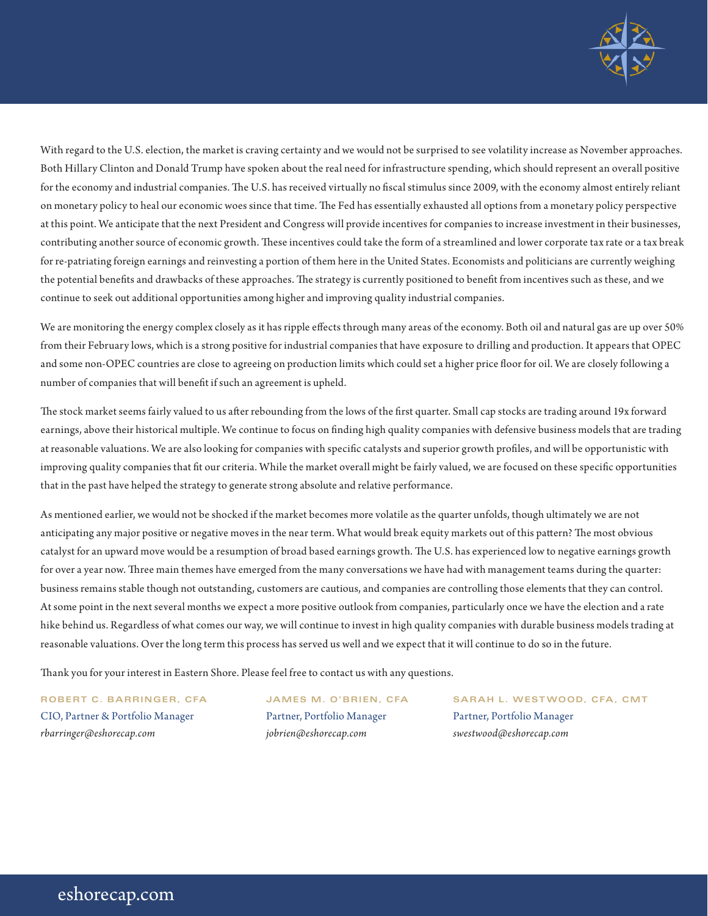

With regard to the U.S. election, the market is craving certainty and we would not be surprised to see volatility increase as November approaches. Both Hillary Clinton and Donald Trump have spoken about the real need for infrastructure spending, which should represent an overall positive for the economy and industrial companies. The U.S. has received virtually no fiscal stimulus since 2009, with the economy almost entirely reliant on monetary policy to heal our economic woes since that time. The Fed has essentially exhausted all options from a monetary policy perspective at this point. We anticipate that the next President and Congress will provide incentives for companies to increase investment in their businesses, contributing another source of economic growth. These incentives could take the form of a streamlined and lower corporate tax rate or a tax break for re-patriating foreign earnings and reinvesting a portion of them here in the United States. Economists and politicians are currently weighing the potential benefits and drawbacks of these approaches. The strategy is currently positioned to benefit from incentives such as these, and we continue to seek out additional opportunities among higher and improving quality industrial companies.

We are monitoring the energy complex closely as it has ripple effects through many areas of the economy. Both oil and natural gas are up over 50% from their February lows, which is a strong positive for industrial companies that have exposure to drilling and production. It appears that OPEC and some non-OPEC countries are close to agreeing on production limits which could set a higher price floor for oil. We are closely following a number of companies that will benefit if such an agreement is upheld.

The stock market seems fairly valued to us after rebounding from the lows of the first quarter. Small cap stocks are trading around 19x forward earnings, above their historical multiple. We continue to focus on finding high quality companies with defensive business models that are trading at reasonable valuations. We are also looking for companies with specific catalysts and superior growth profiles, and will be opportunistic with improving quality companies that fit our criteria. While the market overall might be fairly valued, we are focused on these specific opportunities that in the past have helped the strategy to generate strong absolute and relative performance.

As mentioned earlier, we would not be shocked if the market becomes more volatile as the quarter unfolds, though ultimately we are not anticipating any major positive or negative moves in the near term. What would break equity markets out of this pattern? The most obvious catalyst for an upward move would be a resumption of broad based earnings growth. The U.S. has experienced low to negative earnings growth for over a year now. Three main themes have emerged from the many conversations we have had with management teams during the quarter: business remains stable though not outstanding, customers are cautious, and companies are controlling those elements that they can control. At some point in the next several months we expect a more positive outlook from companies, particularly once we have the election and a rate hike behind us. Regardless of what comes our way, we will continue to invest in high quality companies with durable business models trading at reasonable valuations. Over the long term this process has served us well and we expect that it will continue to do so in the future.

Thank you for your interest in Eastern Shore. Please feel free to contact us with any questions.

CIO, Partner & Portfolio Manager Partner, Portfolio Manager Partner, Portfolio Manager *rbarringer@eshorecap.com jobrien@eshorecap.com swestwood@eshorecap.com*

**ROBERT C. BARRINGER, CFA JAMES M. O'BRIEN, CFA SARAH L. WESTWOOD, CFA, CMT**